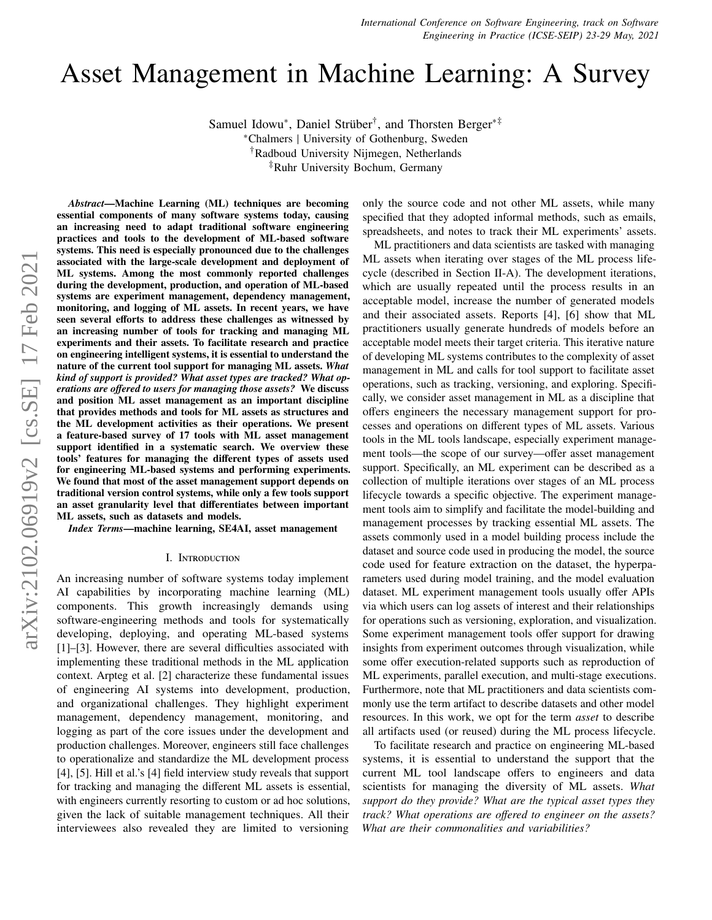# Asset Management in Machine Learning: A Survey

Samuel Idowu<sup>\*</sup>, Daniel Strüber<sup>†</sup>, and Thorsten Berger<sup>∗‡</sup>

<sup>∗</sup>Chalmers | University of Gothenburg, Sweden

†Radboud University Nijmegen, Netherlands

‡Ruhr University Bochum, Germany

essential components of many software systems today, causing an increasing need to adapt traditional software engineering practices and tools to the development of ML-based software systems. This need is especially pronounced due to the challenges associated with the large-scale development and deployment of ML systems. Among the most commonly reported challenges during the development, production, and operation of ML-based systems are experiment management, dependency management, monitoring, and logging of ML assets. In recent years, we have seen several efforts to address these challenges as witnessed by an increasing number of tools for tracking and managing ML experiments and their assets. To facilitate research and practice on engineering intelligent systems, it is essential to understand the nature of the current tool support for managing ML assets. *What kind of support is provided? What asset types are tracked? What operations are o*ff*ered to users for managing those assets?* We discuss and position ML asset management as an important discipline that provides methods and tools for ML assets as structures and the ML development activities as their operations. We present a feature-based survey of 17 tools with ML asset management support identified in a systematic search. We overview these tools' features for managing the different types of assets used for engineering ML-based systems and performing experiments. We found that most of the asset management support depends on traditional version control systems, while only a few tools support an asset granularity level that differentiates between important ML assets, such as datasets and models.

*Abstract*—Machine Learning (ML) techniques are becoming

*Index Terms*—machine learning, SE4AI, asset management

#### I. Introduction

An increasing number of software systems today implement AI capabilities by incorporating machine learning (ML) components. This growth increasingly demands using software-engineering methods and tools for systematically developing, deploying, and operating ML-based systems [\[1\]](#page-9-0)–[\[3\]](#page-9-1). However, there are several difficulties associated with implementing these traditional methods in the ML application context. Arpteg et al. [\[2\]](#page-9-2) characterize these fundamental issues of engineering AI systems into development, production, and organizational challenges. They highlight experiment management, dependency management, monitoring, and logging as part of the core issues under the development and production challenges. Moreover, engineers still face challenges to operationalize and standardize the ML development process [\[4\]](#page-9-3), [\[5\]](#page-9-4). Hill et al.'s [\[4\]](#page-9-3) field interview study reveals that support for tracking and managing the different ML assets is essential, with engineers currently resorting to custom or ad hoc solutions, given the lack of suitable management techniques. All their interviewees also revealed they are limited to versioning

only the source code and not other ML assets, while many specified that they adopted informal methods, such as emails, spreadsheets, and notes to track their ML experiments' assets.

ML practitioners and data scientists are tasked with managing ML assets when iterating over stages of the ML process lifecycle (described in Section [II-A\)](#page-1-0). The development iterations, which are usually repeated until the process results in an acceptable model, increase the number of generated models and their associated assets. Reports [\[4\]](#page-9-3), [\[6\]](#page-9-5) show that ML practitioners usually generate hundreds of models before an acceptable model meets their target criteria. This iterative nature of developing ML systems contributes to the complexity of asset management in ML and calls for tool support to facilitate asset operations, such as tracking, versioning, and exploring. Specifically, we consider asset management in ML as a discipline that offers engineers the necessary management support for processes and operations on different types of ML assets. Various tools in the ML tools landscape, especially experiment management tools—the scope of our survey—offer asset management support. Specifically, an ML experiment can be described as a collection of multiple iterations over stages of an ML process lifecycle towards a specific objective. The experiment management tools aim to simplify and facilitate the model-building and management processes by tracking essential ML assets. The assets commonly used in a model building process include the dataset and source code used in producing the model, the source code used for feature extraction on the dataset, the hyperparameters used during model training, and the model evaluation dataset. ML experiment management tools usually offer APIs via which users can log assets of interest and their relationships for operations such as versioning, exploration, and visualization. Some experiment management tools offer support for drawing insights from experiment outcomes through visualization, while some offer execution-related supports such as reproduction of ML experiments, parallel execution, and multi-stage executions. Furthermore, note that ML practitioners and data scientists commonly use the term artifact to describe datasets and other model resources. In this work, we opt for the term *asset* to describe all artifacts used (or reused) during the ML process lifecycle.

To facilitate research and practice on engineering ML-based systems, it is essential to understand the support that the current ML tool landscape offers to engineers and data scientists for managing the diversity of ML assets. *What support do they provide? What are the typical asset types they track? What operations are o*ff*ered to engineer on the assets? What are their commonalities and variabilities?*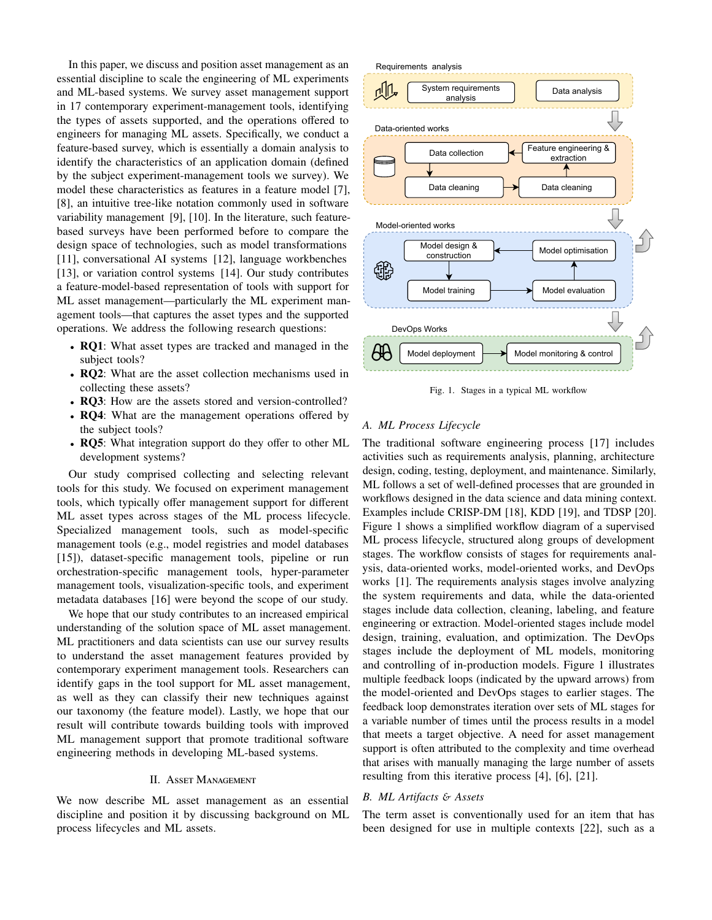In this paper, we discuss and position asset management as an essential discipline to scale the engineering of ML experiments and ML-based systems. We survey asset management support in 17 contemporary experiment-management tools, identifying the types of assets supported, and the operations offered to engineers for managing ML assets. Specifically, we conduct a feature-based survey, which is essentially a domain analysis to identify the characteristics of an application domain (defined by the subject experiment-management tools we survey). We model these characteristics as features in a feature model [\[7\]](#page-9-6), [\[8\]](#page-9-7), an intuitive tree-like notation commonly used in software variability management [\[9\]](#page-9-8), [\[10\]](#page-9-9). In the literature, such featurebased surveys have been performed before to compare the design space of technologies, such as model transformations [\[11\]](#page-9-10), conversational AI systems [\[12\]](#page-9-11), language workbenches [\[13\]](#page-9-12), or variation control systems [\[14\]](#page-9-13). Our study contributes a feature-model-based representation of tools with support for ML asset management—particularly the ML experiment management tools—that captures the asset types and the supported operations. We address the following research questions:

- RQ1: What asset types are tracked and managed in the subject tools?
- RO2: What are the asset collection mechanisms used in collecting these assets?
- RQ3: How are the assets stored and version-controlled?
- RQ4: What are the management operations offered by the subject tools?
- RQ5: What integration support do they offer to other ML development systems?

Our study comprised collecting and selecting relevant tools for this study. We focused on experiment management tools, which typically offer management support for different ML asset types across stages of the ML process lifecycle. Specialized management tools, such as model-specific management tools (e.g., model registries and model databases [\[15\]](#page-9-14)), dataset-specific management tools, pipeline or run orchestration-specific management tools, hyper-parameter management tools, visualization-specific tools, and experiment metadata databases [\[16\]](#page-9-15) were beyond the scope of our study.

We hope that our study contributes to an increased empirical understanding of the solution space of ML asset management. ML practitioners and data scientists can use our survey results to understand the asset management features provided by contemporary experiment management tools. Researchers can identify gaps in the tool support for ML asset management, as well as they can classify their new techniques against our taxonomy (the feature model). Lastly, we hope that our result will contribute towards building tools with improved ML management support that promote traditional software engineering methods in developing ML-based systems.

## II. Asset Management

<span id="page-1-2"></span>We now describe ML asset management as an essential discipline and position it by discussing background on ML process lifecycles and ML assets.



<span id="page-1-1"></span>Fig. 1. Stages in a typical ML workflow

#### <span id="page-1-0"></span>*A. ML Process Lifecycle*

The traditional software engineering process [\[17\]](#page-9-16) includes activities such as requirements analysis, planning, architecture design, coding, testing, deployment, and maintenance. Similarly, ML follows a set of well-defined processes that are grounded in workflows designed in the data science and data mining context. Examples include CRISP-DM [\[18\]](#page-9-17), KDD [\[19\]](#page-9-18), and TDSP [\[20\]](#page-9-19). Figure [1](#page-1-1) shows a simplified workflow diagram of a supervised ML process lifecycle, structured along groups of development stages. The workflow consists of stages for requirements analysis, data-oriented works, model-oriented works, and DevOps works [\[1\]](#page-9-0). The requirements analysis stages involve analyzing the system requirements and data, while the data-oriented stages include data collection, cleaning, labeling, and feature engineering or extraction. Model-oriented stages include model design, training, evaluation, and optimization. The DevOps stages include the deployment of ML models, monitoring and controlling of in-production models. Figure [1](#page-1-1) illustrates multiple feedback loops (indicated by the upward arrows) from the model-oriented and DevOps stages to earlier stages. The feedback loop demonstrates iteration over sets of ML stages for a variable number of times until the process results in a model that meets a target objective. A need for asset management support is often attributed to the complexity and time overhead that arises with manually managing the large number of assets resulting from this iterative process [\[4\]](#page-9-3), [\[6\]](#page-9-5), [\[21\]](#page-9-20).

## *B. ML Artifacts* & *Assets*

The term asset is conventionally used for an item that has been designed for use in multiple contexts [\[22\]](#page-9-21), such as a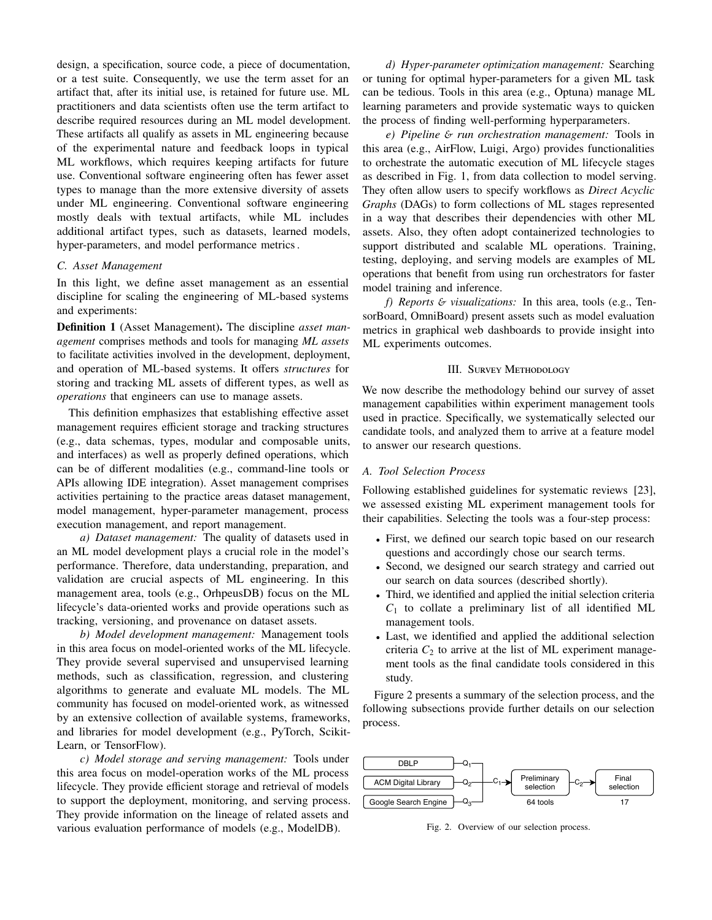design, a specification, source code, a piece of documentation, or a test suite. Consequently, we use the term asset for an artifact that, after its initial use, is retained for future use. ML practitioners and data scientists often use the term artifact to describe required resources during an ML model development. These artifacts all qualify as assets in ML engineering because of the experimental nature and feedback loops in typical ML workflows, which requires keeping artifacts for future use. Conventional software engineering often has fewer asset types to manage than the more extensive diversity of assets under ML engineering. Conventional software engineering mostly deals with textual artifacts, while ML includes additional artifact types, such as datasets, learned models, hyper-parameters, and model performance metrics .

#### <span id="page-2-1"></span>*C. Asset Management*

In this light, we define asset management as an essential discipline for scaling the engineering of ML-based systems and experiments:

Definition 1 (Asset Management). The discipline *asset management* comprises methods and tools for managing *ML assets* to facilitate activities involved in the development, deployment, and operation of ML-based systems. It offers *structures* for storing and tracking ML assets of different types, as well as *operations* that engineers can use to manage assets.

This definition emphasizes that establishing effective asset management requires efficient storage and tracking structures (e.g., data schemas, types, modular and composable units, and interfaces) as well as properly defined operations, which can be of different modalities (e.g., command-line tools or APIs allowing IDE integration). Asset management comprises activities pertaining to the practice areas dataset management, model management, hyper-parameter management, process execution management, and report management.

*a) Dataset management:* The quality of datasets used in an ML model development plays a crucial role in the model's performance. Therefore, data understanding, preparation, and validation are crucial aspects of ML engineering. In this management area, tools (e.g., OrhpeusDB) focus on the ML lifecycle's data-oriented works and provide operations such as tracking, versioning, and provenance on dataset assets.

*b) Model development management:* Management tools in this area focus on model-oriented works of the ML lifecycle. They provide several supervised and unsupervised learning methods, such as classification, regression, and clustering algorithms to generate and evaluate ML models. The ML community has focused on model-oriented work, as witnessed by an extensive collection of available systems, frameworks, and libraries for model development (e.g., PyTorch, Scikit-Learn, or TensorFlow).

*c) Model storage and serving management:* Tools under this area focus on model-operation works of the ML process lifecycle. They provide efficient storage and retrieval of models to support the deployment, monitoring, and serving process. They provide information on the lineage of related assets and various evaluation performance of models (e.g., ModelDB).

*d) Hyper-parameter optimization management:* Searching or tuning for optimal hyper-parameters for a given ML task can be tedious. Tools in this area (e.g., Optuna) manage ML learning parameters and provide systematic ways to quicken the process of finding well-performing hyperparameters.

*e) Pipeline* & *run orchestration management:* Tools in this area (e.g., AirFlow, Luigi, Argo) provides functionalities to orchestrate the automatic execution of ML lifecycle stages as described in Fig. [1,](#page-1-1) from data collection to model serving. They often allow users to specify workflows as *Direct Acyclic Graphs* (DAGs) to form collections of ML stages represented in a way that describes their dependencies with other ML assets. Also, they often adopt containerized technologies to support distributed and scalable ML operations. Training, testing, deploying, and serving models are examples of ML operations that benefit from using run orchestrators for faster model training and inference.

*f) Reports* & *visualizations:* In this area, tools (e.g., TensorBoard, OmniBoard) present assets such as model evaluation metrics in graphical web dashboards to provide insight into ML experiments outcomes.

## III. Survey Methodology

We now describe the methodology behind our survey of asset management capabilities within experiment management tools used in practice. Specifically, we systematically selected our candidate tools, and analyzed them to arrive at a feature model to answer our research questions.

#### *A. Tool Selection Process*

Following established guidelines for systematic reviews [\[23\]](#page-9-22), we assessed existing ML experiment management tools for their capabilities. Selecting the tools was a four-step process:

- First, we defined our search topic based on our research questions and accordingly chose our search terms.
- Second, we designed our search strategy and carried out our search on data sources (described shortly).
- Third, we identified and applied the initial selection criteria  $C_1$  to collate a preliminary list of all identified ML management tools.
- Last, we identified and applied the additional selection criteria  $C_2$  to arrive at the list of ML experiment management tools as the final candidate tools considered in this study.

Figure [2](#page-2-0) presents a summary of the selection process, and the following subsections provide further details on our selection process.



<span id="page-2-0"></span>Fig. 2. Overview of our selection process.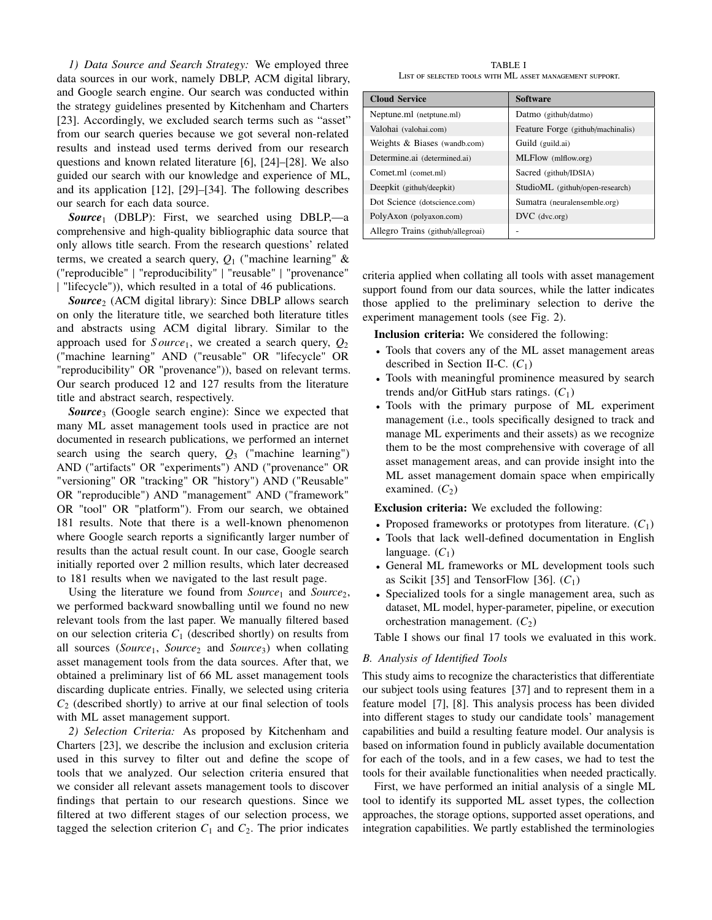*1) Data Source and Search Strategy:* We employed three data sources in our work, namely DBLP, ACM digital library, and Google search engine. Our search was conducted within the strategy guidelines presented by Kitchenham and Charters [\[23\]](#page-9-22). Accordingly, we excluded search terms such as "asset" from our search queries because we got several non-related results and instead used terms derived from our research questions and known related literature [\[6\]](#page-9-5), [\[24\]](#page-9-23)–[\[28\]](#page-9-24). We also guided our search with our knowledge and experience of ML, and its application [\[12\]](#page-9-11), [\[29\]](#page-9-25)–[\[34\]](#page-9-26). The following describes our search for each data source.

*Source*<sup>1</sup> (DBLP): First, we searched using DBLP,—a comprehensive and high-quality bibliographic data source that only allows title search. From the research questions' related terms, we created a search query, *Q*<sup>1</sup> ("machine learning" & ("reproducible" | "reproducibility" | "reusable" | "provenance" | "lifecycle")), which resulted in a total of 46 publications.

*Source*<sup>2</sup> (ACM digital library): Since DBLP allows search on only the literature title, we searched both literature titles and abstracts using ACM digital library. Similar to the approach used for  $Source<sub>1</sub>$ , we created a search query,  $Q<sub>2</sub>$ ("machine learning" AND ("reusable" OR "lifecycle" OR "reproducibility" OR "provenance")), based on relevant terms. Our search produced 12 and 127 results from the literature title and abstract search, respectively.

*Source*<sup>3</sup> (Google search engine): Since we expected that many ML asset management tools used in practice are not documented in research publications, we performed an internet search using the search query, *Q*<sup>3</sup> ("machine learning") AND ("artifacts" OR "experiments") AND ("provenance" OR "versioning" OR "tracking" OR "history") AND ("Reusable" OR "reproducible") AND "management" AND ("framework" OR "tool" OR "platform"). From our search, we obtained 181 results. Note that there is a well-known phenomenon where Google search reports a significantly larger number of results than the actual result count. In our case, Google search initially reported over 2 million results, which later decreased to 181 results when we navigated to the last result page.

Using the literature we found from *Source*<sub>1</sub> and *Source*<sub>2</sub>, we performed backward snowballing until we found no new relevant tools from the last paper. We manually filtered based on our selection criteria *C*<sup>1</sup> (described shortly) on results from all sources (*Source*<sub>1</sub>, *Source*<sub>2</sub> and *Source*<sub>3</sub>) when collating asset management tools from the data sources. After that, we obtained a preliminary list of 66 ML asset management tools discarding duplicate entries. Finally, we selected using criteria  $C_2$  (described shortly) to arrive at our final selection of tools with ML asset management support.

*2) Selection Criteria:* As proposed by Kitchenham and Charters [\[23\]](#page-9-22), we describe the inclusion and exclusion criteria used in this survey to filter out and define the scope of tools that we analyzed. Our selection criteria ensured that we consider all relevant assets management tools to discover findings that pertain to our research questions. Since we filtered at two different stages of our selection process, we tagged the selection criterion  $C_1$  and  $C_2$ . The prior indicates

TABLE I List of selected tools with ML asset management support.

<span id="page-3-0"></span>

| <b>Cloud Service</b>              | <b>Software</b>                   |
|-----------------------------------|-----------------------------------|
| Neptune.ml (netptune.ml)          | Datmo (github/datmo)              |
| Valohai (valohai.com)             | Feature Forge (github/machinalis) |
| Weights & Biases (wandb.com)      | Guild (guild.ai)                  |
| Determine.ai (determined.ai)      | MLFlow (mlflow.org)               |
| Comet.ml (comet.ml)               | Sacred (github/IDSIA)             |
| Deepkit (github/deepkit)          | StudioML (github/open-research)   |
| Dot Science (dotscience.com)      | Sumatra (neuralensemble.org)      |
| PolyAxon (polyaxon.com)           | $DVC$ (dvc.org)                   |
| Allegro Trains (github/allegroai) |                                   |

criteria applied when collating all tools with asset management support found from our data sources, while the latter indicates those applied to the preliminary selection to derive the experiment management tools (see Fig. [2\)](#page-2-0).

Inclusion criteria: We considered the following:

- Tools that covers any of the ML asset management areas described in Section [II-C.](#page-2-1) (*C*1)
- Tools with meaningful prominence measured by search trends and/or GitHub stars ratings.  $(C_1)$
- Tools with the primary purpose of ML experiment management (i.e., tools specifically designed to track and manage ML experiments and their assets) as we recognize them to be the most comprehensive with coverage of all asset management areas, and can provide insight into the ML asset management domain space when empirically examined.  $(C_2)$

Exclusion criteria: We excluded the following:

- Proposed frameworks or prototypes from literature.  $(C_1)$
- Tools that lack well-defined documentation in English language.  $(C_1)$
- General ML frameworks or ML development tools such as Scikit [\[35\]](#page-9-27) and TensorFlow [\[36\]](#page-9-28).  $(C_1)$
- Specialized tools for a single management area, such as dataset, ML model, hyper-parameter, pipeline, or execution orchestration management.  $(C_2)$

Table [I](#page-3-0) shows our final 17 tools we evaluated in this work.

## *B. Analysis of Identified Tools*

This study aims to recognize the characteristics that differentiate our subject tools using features [\[37\]](#page-9-29) and to represent them in a feature model [\[7\]](#page-9-6), [\[8\]](#page-9-7). This analysis process has been divided into different stages to study our candidate tools' management capabilities and build a resulting feature model. Our analysis is based on information found in publicly available documentation for each of the tools, and in a few cases, we had to test the tools for their available functionalities when needed practically.

First, we have performed an initial analysis of a single ML tool to identify its supported ML asset types, the collection approaches, the storage options, supported asset operations, and integration capabilities. We partly established the terminologies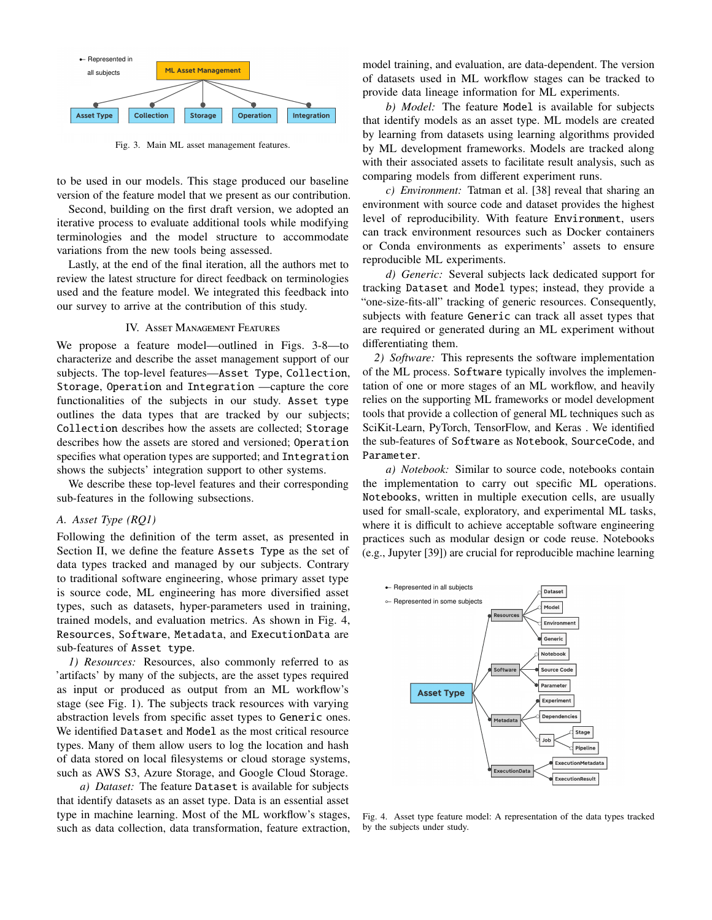

<span id="page-4-0"></span>Fig. 3. Main ML asset management features.

to be used in our models. This stage produced our baseline version of the feature model that we present as our contribution.

Second, building on the first draft version, we adopted an iterative process to evaluate additional tools while modifying terminologies and the model structure to accommodate variations from the new tools being assessed.

Lastly, at the end of the final iteration, all the authors met to review the latest structure for direct feedback on terminologies used and the feature model. We integrated this feedback into our survey to arrive at the contribution of this study.

## IV. Asset Management Features

We propose a feature model—outlined in Figs. [3](#page-4-0)[-8—](#page-7-0)to characterize and describe the asset management support of our subjects. The top-level features—Asset Type, Collection, Storage, Operation and Integration —capture the core functionalities of the subjects in our study. Asset type outlines the data types that are tracked by our subjects; Collection describes how the assets are collected; Storage describes how the assets are stored and versioned; Operation specifies what operation types are supported; and Integration shows the subjects' integration support to other systems.

We describe these top-level features and their corresponding sub-features in the following subsections.

#### *A. Asset Type (RQ1)*

Following the definition of the term asset, as presented in Section [II,](#page-1-2) we define the feature Assets Type as the set of data types tracked and managed by our subjects. Contrary to traditional software engineering, whose primary asset type is source code, ML engineering has more diversified asset types, such as datasets, hyper-parameters used in training, trained models, and evaluation metrics. As shown in Fig. [4,](#page-4-1) Resources, Software, Metadata, and ExecutionData are sub-features of Asset type.

*1) Resources:* Resources, also commonly referred to as 'artifacts' by many of the subjects, are the asset types required as input or produced as output from an ML workflow's stage (see Fig. [1\)](#page-1-1). The subjects track resources with varying abstraction levels from specific asset types to Generic ones. We identified Dataset and Model as the most critical resource types. Many of them allow users to log the location and hash of data stored on local filesystems or cloud storage systems, such as AWS S3, Azure Storage, and Google Cloud Storage.

*a) Dataset:* The feature Dataset is available for subjects that identify datasets as an asset type. Data is an essential asset type in machine learning. Most of the ML workflow's stages, such as data collection, data transformation, feature extraction, model training, and evaluation, are data-dependent. The version of datasets used in ML workflow stages can be tracked to provide data lineage information for ML experiments.

*b) Model:* The feature Model is available for subjects that identify models as an asset type. ML models are created by learning from datasets using learning algorithms provided by ML development frameworks. Models are tracked along with their associated assets to facilitate result analysis, such as comparing models from different experiment runs.

*c) Environment:* Tatman et al. [\[38\]](#page-9-30) reveal that sharing an environment with source code and dataset provides the highest level of reproducibility. With feature Environment, users can track environment resources such as Docker containers or Conda environments as experiments' assets to ensure reproducible ML experiments.

*d) Generic:* Several subjects lack dedicated support for tracking Dataset and Model types; instead, they provide a "one-size-fits-all" tracking of generic resources. Consequently, subjects with feature Generic can track all asset types that are required or generated during an ML experiment without differentiating them.

*2) Software:* This represents the software implementation of the ML process. Software typically involves the implementation of one or more stages of an ML workflow, and heavily relies on the supporting ML frameworks or model development tools that provide a collection of general ML techniques such as SciKit-Learn, PyTorch, TensorFlow, and Keras . We identified the sub-features of Software as Notebook, SourceCode, and Parameter.

*a) Notebook:* Similar to source code, notebooks contain the implementation to carry out specific ML operations. Notebooks, written in multiple execution cells, are usually used for small-scale, exploratory, and experimental ML tasks, where it is difficult to achieve acceptable software engineering practices such as modular design or code reuse. Notebooks (e.g., Jupyter [\[39\]](#page-9-31)) are crucial for reproducible machine learning



<span id="page-4-1"></span>Fig. 4. Asset type feature model: A representation of the data types tracked by the subjects under study.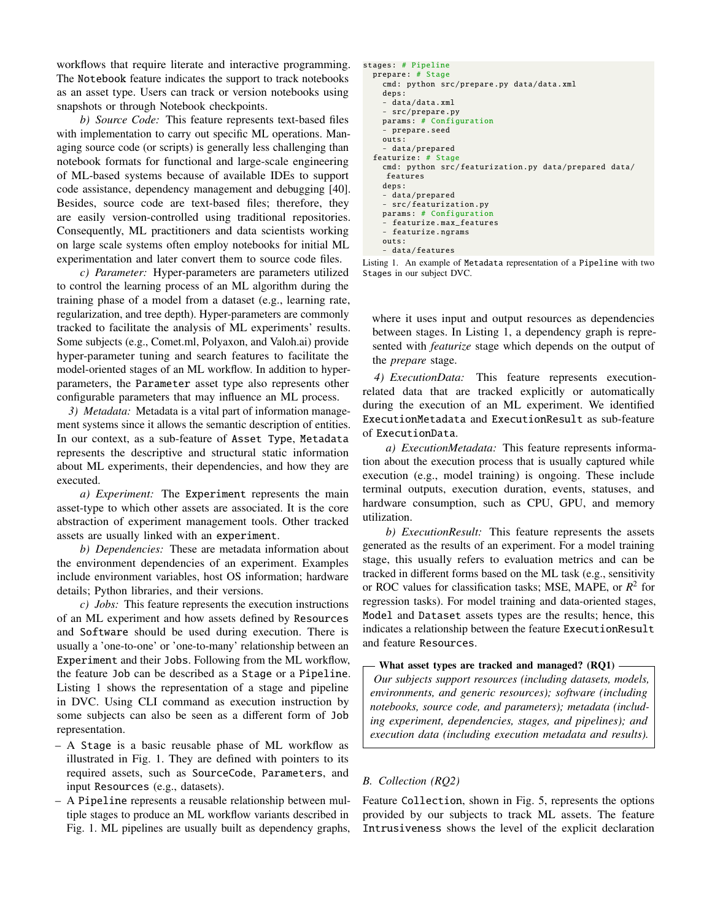workflows that require literate and interactive programming. The Notebook feature indicates the support to track notebooks as an asset type. Users can track or version notebooks using snapshots or through Notebook checkpoints.

*b) Source Code:* This feature represents text-based files with implementation to carry out specific ML operations. Managing source code (or scripts) is generally less challenging than notebook formats for functional and large-scale engineering of ML-based systems because of available IDEs to support code assistance, dependency management and debugging [\[40\]](#page-9-32). Besides, source code are text-based files; therefore, they are easily version-controlled using traditional repositories. Consequently, ML practitioners and data scientists working on large scale systems often employ notebooks for initial ML experimentation and later convert them to source code files.

*c) Parameter:* Hyper-parameters are parameters utilized to control the learning process of an ML algorithm during the training phase of a model from a dataset (e.g., learning rate, regularization, and tree depth). Hyper-parameters are commonly tracked to facilitate the analysis of ML experiments' results. Some subjects (e.g., Comet.ml, Polyaxon, and Valoh.ai) provide hyper-parameter tuning and search features to facilitate the model-oriented stages of an ML workflow. In addition to hyperparameters, the Parameter asset type also represents other configurable parameters that may influence an ML process.

*3) Metadata:* Metadata is a vital part of information management systems since it allows the semantic description of entities. In our context, as a sub-feature of Asset Type, Metadata represents the descriptive and structural static information about ML experiments, their dependencies, and how they are executed.

*a) Experiment:* The Experiment represents the main asset-type to which other assets are associated. It is the core abstraction of experiment management tools. Other tracked assets are usually linked with an experiment.

*b) Dependencies:* These are metadata information about the environment dependencies of an experiment. Examples include environment variables, host OS information; hardware details; Python libraries, and their versions.

*c) Jobs:* This feature represents the execution instructions of an ML experiment and how assets defined by Resources and Software should be used during execution. There is usually a 'one-to-one' or 'one-to-many' relationship between an Experiment and their Jobs. Following from the ML workflow, the feature Job can be described as a Stage or a Pipeline. Listing [1](#page-5-0) shows the representation of a stage and pipeline in DVC. Using CLI command as execution instruction by some subjects can also be seen as a different form of Job representation.

- A Stage is a basic reusable phase of ML workflow as illustrated in Fig. [1.](#page-1-1) They are defined with pointers to its required assets, such as SourceCode, Parameters, and input Resources (e.g., datasets).
- A Pipeline represents a reusable relationship between multiple stages to produce an ML workflow variants described in Fig. [1.](#page-1-1) ML pipelines are usually built as dependency graphs,

```
stages: # Pipeline
prepare: # Stage
  cmd: python src/prepare.py data/data.xml
  deps:
  - data/data.xml
   - src/prepare.py
  params: # Configuration
    prepare.seed
  outs:
    data/prepared
featurize : # Stage
  cmd: python src/ featurization .py data/prepared data/
  features
  deps:
  - data/prepared
    src/featurization.py
  params: # Configuration
    featurize.max_features
  - featurize .ngrams
  outs:
  - data/features
```
Listing 1. An example of Metadata representation of a Pipeline with two Stages in our subject DVC.

where it uses input and output resources as dependencies between stages. In Listing [1,](#page-5-0) a dependency graph is represented with *featurize* stage which depends on the output of the *prepare* stage.

*4) ExecutionData:* This feature represents executionrelated data that are tracked explicitly or automatically during the execution of an ML experiment. We identified ExecutionMetadata and ExecutionResult as sub-feature of ExecutionData.

*a) ExecutionMetadata:* This feature represents information about the execution process that is usually captured while execution (e.g., model training) is ongoing. These include terminal outputs, execution duration, events, statuses, and hardware consumption, such as CPU, GPU, and memory utilization.

*b) ExecutionResult:* This feature represents the assets generated as the results of an experiment. For a model training stage, this usually refers to evaluation metrics and can be tracked in different forms based on the ML task (e.g., sensitivity or ROC values for classification tasks; MSE, MAPE, or *R* 2 for regression tasks). For model training and data-oriented stages, Model and Dataset assets types are the results; hence, this indicates a relationship between the feature ExecutionResult and feature Resources.

What asset types are tracked and managed? (RQ1)

*Our subjects support resources (including datasets, models, environments, and generic resources); software (including notebooks, source code, and parameters); metadata (including experiment, dependencies, stages, and pipelines); and execution data (including execution metadata and results).*

## *B. Collection (RQ2)*

Feature Collection, shown in Fig. [5,](#page-6-0) represents the options provided by our subjects to track ML assets. The feature Intrusiveness shows the level of the explicit declaration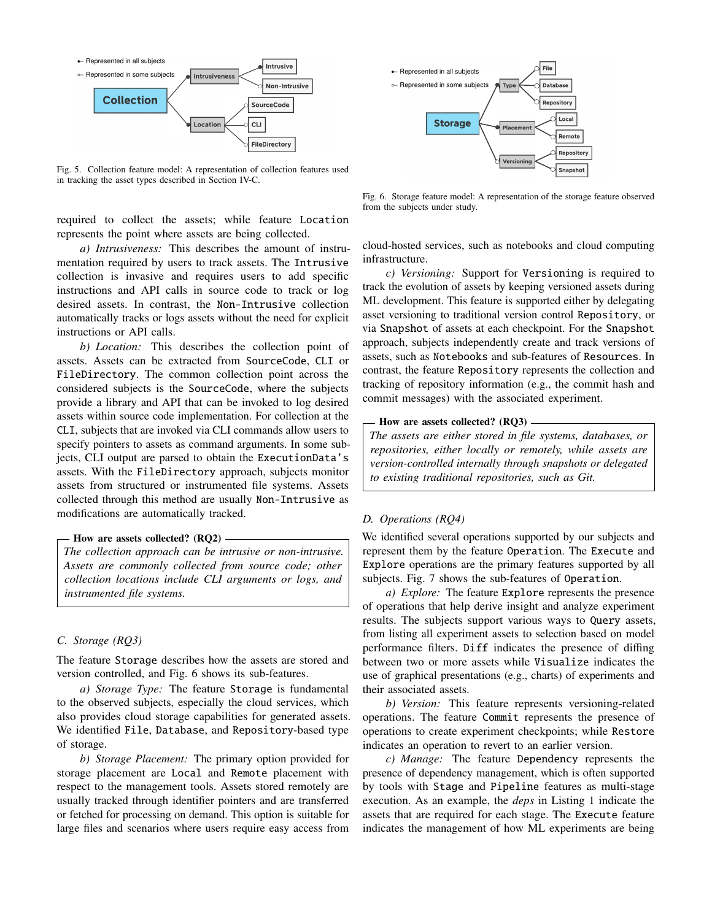

<span id="page-6-0"></span>Fig. 5. Collection feature model: A representation of collection features used in tracking the asset types described in Section [IV-C.](#page-6-1)

required to collect the assets; while feature Location represents the point where assets are being collected.

*a) Intrusiveness:* This describes the amount of instrumentation required by users to track assets. The Intrusive collection is invasive and requires users to add specific instructions and API calls in source code to track or log desired assets. In contrast, the Non-Intrusive collection automatically tracks or logs assets without the need for explicit instructions or API calls.

*b) Location:* This describes the collection point of assets. Assets can be extracted from SourceCode, CLI or FileDirectory. The common collection point across the considered subjects is the SourceCode, where the subjects provide a library and API that can be invoked to log desired assets within source code implementation. For collection at the CLI, subjects that are invoked via CLI commands allow users to specify pointers to assets as command arguments. In some subjects, CLI output are parsed to obtain the ExecutionData's assets. With the FileDirectory approach, subjects monitor assets from structured or instrumented file systems. Assets collected through this method are usually Non-Intrusive as modifications are automatically tracked.

#### How are assets collected? (RQ2) -

*The collection approach can be intrusive or non-intrusive. Assets are commonly collected from source code; other collection locations include CLI arguments or logs, and instrumented file systems.*

## <span id="page-6-1"></span>*C. Storage (RQ3)*

The feature Storage describes how the assets are stored and version controlled, and Fig. [6](#page-6-2) shows its sub-features.

*a) Storage Type:* The feature Storage is fundamental to the observed subjects, especially the cloud services, which also provides cloud storage capabilities for generated assets. We identified File, Database, and Repository-based type of storage.

*b) Storage Placement:* The primary option provided for storage placement are Local and Remote placement with respect to the management tools. Assets stored remotely are usually tracked through identifier pointers and are transferred or fetched for processing on demand. This option is suitable for large files and scenarios where users require easy access from



<span id="page-6-2"></span>Fig. 6. Storage feature model: A representation of the storage feature observed from the subjects under study.

cloud-hosted services, such as notebooks and cloud computing infrastructure.

*c) Versioning:* Support for Versioning is required to track the evolution of assets by keeping versioned assets during ML development. This feature is supported either by delegating asset versioning to traditional version control Repository, or via Snapshot of assets at each checkpoint. For the Snapshot approach, subjects independently create and track versions of assets, such as Notebooks and sub-features of Resources. In contrast, the feature Repository represents the collection and tracking of repository information (e.g., the commit hash and commit messages) with the associated experiment.

#### How are assets collected? (RQ3) -

*The assets are either stored in file systems, databases, or repositories, either locally or remotely, while assets are version-controlled internally through snapshots or delegated to existing traditional repositories, such as Git.*

## *D. Operations (RQ4)*

We identified several operations supported by our subjects and represent them by the feature Operation. The Execute and Explore operations are the primary features supported by all subjects. Fig. [7](#page-7-1) shows the sub-features of Operation.

*a) Explore:* The feature Explore represents the presence of operations that help derive insight and analyze experiment results. The subjects support various ways to Query assets, from listing all experiment assets to selection based on model performance filters. Diff indicates the presence of diffing between two or more assets while Visualize indicates the use of graphical presentations (e.g., charts) of experiments and their associated assets.

*b) Version:* This feature represents versioning-related operations. The feature Commit represents the presence of operations to create experiment checkpoints; while Restore indicates an operation to revert to an earlier version.

*c) Manage:* The feature Dependency represents the presence of dependency management, which is often supported by tools with Stage and Pipeline features as multi-stage execution. As an example, the *deps* in Listing [1](#page-5-0) indicate the assets that are required for each stage. The Execute feature indicates the management of how ML experiments are being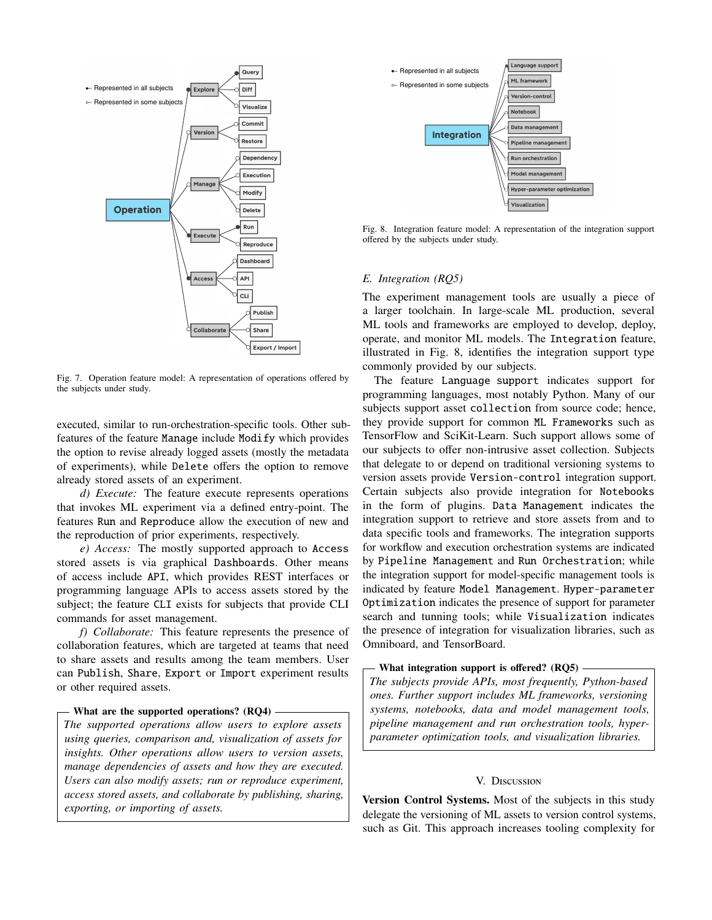

<span id="page-7-1"></span>Fig. 7. Operation feature model: A representation of operations offered by the subjects under study.

executed, similar to run-orchestration-specific tools. Other subfeatures of the feature Manage include Modify which provides the option to revise already logged assets (mostly the metadata of experiments), while Delete offers the option to remove already stored assets of an experiment.

*d) Execute:* The feature execute represents operations that invokes ML experiment via a defined entry-point. The features Run and Reproduce allow the execution of new and the reproduction of prior experiments, respectively.

*e) Access:* The mostly supported approach to Access stored assets is via graphical Dashboards. Other means of access include API, which provides REST interfaces or programming language APIs to access assets stored by the subject; the feature CLI exists for subjects that provide CLI commands for asset management.

*f) Collaborate:* This feature represents the presence of collaboration features, which are targeted at teams that need to share assets and results among the team members. User can Publish, Share, Export or Import experiment results or other required assets.

## What are the supported operations? (RO4) -

*The supported operations allow users to explore assets using queries, comparison and, visualization of assets for insights. Other operations allow users to version assets, manage dependencies of assets and how they are executed. Users can also modify assets; run or reproduce experiment, access stored assets, and collaborate by publishing, sharing, exporting, or importing of assets.*



<span id="page-7-0"></span>Fig. 8. Integration feature model: A representation of the integration support offered by the subjects under study.

#### *E. Integration (RQ5)*

The experiment management tools are usually a piece of a larger toolchain. In large-scale ML production, several ML tools and frameworks are employed to develop, deploy, operate, and monitor ML models. The Integration feature, illustrated in Fig. [8,](#page-7-0) identifies the integration support type commonly provided by our subjects.

The feature Language support indicates support for programming languages, most notably Python. Many of our subjects support asset collection from source code; hence, they provide support for common ML Frameworks such as TensorFlow and SciKit-Learn. Such support allows some of our subjects to offer non-intrusive asset collection. Subjects that delegate to or depend on traditional versioning systems to version assets provide Version-control integration support. Certain subjects also provide integration for Notebooks in the form of plugins. Data Management indicates the integration support to retrieve and store assets from and to data specific tools and frameworks. The integration supports for workflow and execution orchestration systems are indicated by Pipeline Management and Run Orchestration; while the integration support for model-specific management tools is indicated by feature Model Management. Hyper-parameter Optimization indicates the presence of support for parameter search and tunning tools; while Visualization indicates the presence of integration for visualization libraries, such as Omniboard, and TensorBoard.

#### - What integration support is offered? (RQ5) -

*The subjects provide APIs, most frequently, Python-based ones. Further support includes ML frameworks, versioning systems, notebooks, data and model management tools, pipeline management and run orchestration tools, hyperparameter optimization tools, and visualization libraries.*

#### V. Discussion

<span id="page-7-2"></span>Version Control Systems. Most of the subjects in this study delegate the versioning of ML assets to version control systems, such as Git. This approach increases tooling complexity for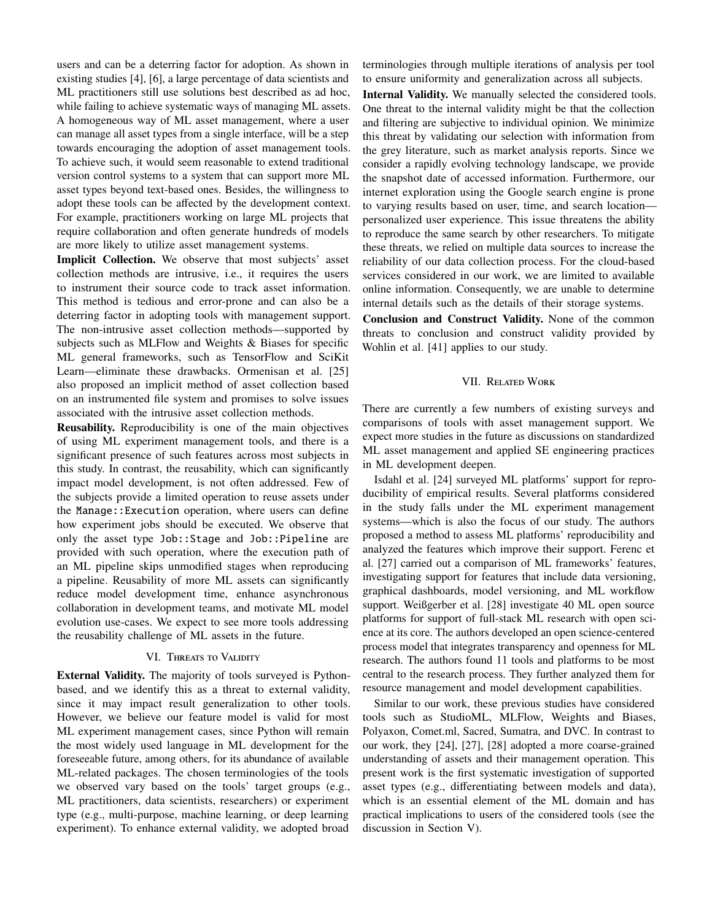users and can be a deterring factor for adoption. As shown in existing studies [\[4\]](#page-9-3), [\[6\]](#page-9-5), a large percentage of data scientists and ML practitioners still use solutions best described as ad hoc, while failing to achieve systematic ways of managing ML assets. A homogeneous way of ML asset management, where a user can manage all asset types from a single interface, will be a step towards encouraging the adoption of asset management tools. To achieve such, it would seem reasonable to extend traditional version control systems to a system that can support more ML asset types beyond text-based ones. Besides, the willingness to adopt these tools can be affected by the development context. For example, practitioners working on large ML projects that require collaboration and often generate hundreds of models are more likely to utilize asset management systems.

Implicit Collection. We observe that most subjects' asset collection methods are intrusive, i.e., it requires the users to instrument their source code to track asset information. This method is tedious and error-prone and can also be a deterring factor in adopting tools with management support. The non-intrusive asset collection methods—supported by subjects such as MLFlow and Weights & Biases for specific ML general frameworks, such as TensorFlow and SciKit Learn—eliminate these drawbacks. Ormenisan et al. [\[25\]](#page-9-33) also proposed an implicit method of asset collection based on an instrumented file system and promises to solve issues associated with the intrusive asset collection methods.

Reusability. Reproducibility is one of the main objectives of using ML experiment management tools, and there is a significant presence of such features across most subjects in this study. In contrast, the reusability, which can significantly impact model development, is not often addressed. Few of the subjects provide a limited operation to reuse assets under the Manage::Execution operation, where users can define how experiment jobs should be executed. We observe that only the asset type Job::Stage and Job::Pipeline are provided with such operation, where the execution path of an ML pipeline skips unmodified stages when reproducing a pipeline. Reusability of more ML assets can significantly reduce model development time, enhance asynchronous collaboration in development teams, and motivate ML model evolution use-cases. We expect to see more tools addressing the reusability challenge of ML assets in the future.

# VI. THREATS TO VALIDITY

External Validity. The majority of tools surveyed is Pythonbased, and we identify this as a threat to external validity, since it may impact result generalization to other tools. However, we believe our feature model is valid for most ML experiment management cases, since Python will remain the most widely used language in ML development for the foreseeable future, among others, for its abundance of available ML-related packages. The chosen terminologies of the tools we observed vary based on the tools' target groups (e.g., ML practitioners, data scientists, researchers) or experiment type (e.g., multi-purpose, machine learning, or deep learning experiment). To enhance external validity, we adopted broad

terminologies through multiple iterations of analysis per tool to ensure uniformity and generalization across all subjects.

Internal Validity. We manually selected the considered tools. One threat to the internal validity might be that the collection and filtering are subjective to individual opinion. We minimize this threat by validating our selection with information from the grey literature, such as market analysis reports. Since we consider a rapidly evolving technology landscape, we provide the snapshot date of accessed information. Furthermore, our internet exploration using the Google search engine is prone to varying results based on user, time, and search location personalized user experience. This issue threatens the ability to reproduce the same search by other researchers. To mitigate these threats, we relied on multiple data sources to increase the reliability of our data collection process. For the cloud-based services considered in our work, we are limited to available online information. Consequently, we are unable to determine internal details such as the details of their storage systems.

Conclusion and Construct Validity. None of the common threats to conclusion and construct validity provided by Wohlin et al. [\[41\]](#page-9-34) applies to our study.

## VII. Related Work

There are currently a few numbers of existing surveys and comparisons of tools with asset management support. We expect more studies in the future as discussions on standardized ML asset management and applied SE engineering practices in ML development deepen.

Isdahl et al. [\[24\]](#page-9-23) surveyed ML platforms' support for reproducibility of empirical results. Several platforms considered in the study falls under the ML experiment management systems—which is also the focus of our study. The authors proposed a method to assess ML platforms' reproducibility and analyzed the features which improve their support. Ferenc et al. [\[27\]](#page-9-35) carried out a comparison of ML frameworks' features, investigating support for features that include data versioning, graphical dashboards, model versioning, and ML workflow support. Weißgerber et al. [\[28\]](#page-9-24) investigate 40 ML open source platforms for support of full-stack ML research with open science at its core. The authors developed an open science-centered process model that integrates transparency and openness for ML research. The authors found 11 tools and platforms to be most central to the research process. They further analyzed them for resource management and model development capabilities.

Similar to our work, these previous studies have considered tools such as StudioML, MLFlow, Weights and Biases, Polyaxon, Comet.ml, Sacred, Sumatra, and DVC. In contrast to our work, they [\[24\]](#page-9-23), [\[27\]](#page-9-35), [\[28\]](#page-9-24) adopted a more coarse-grained understanding of assets and their management operation. This present work is the first systematic investigation of supported asset types (e.g., differentiating between models and data), which is an essential element of the ML domain and has practical implications to users of the considered tools (see the discussion in Section [V\)](#page-7-2).